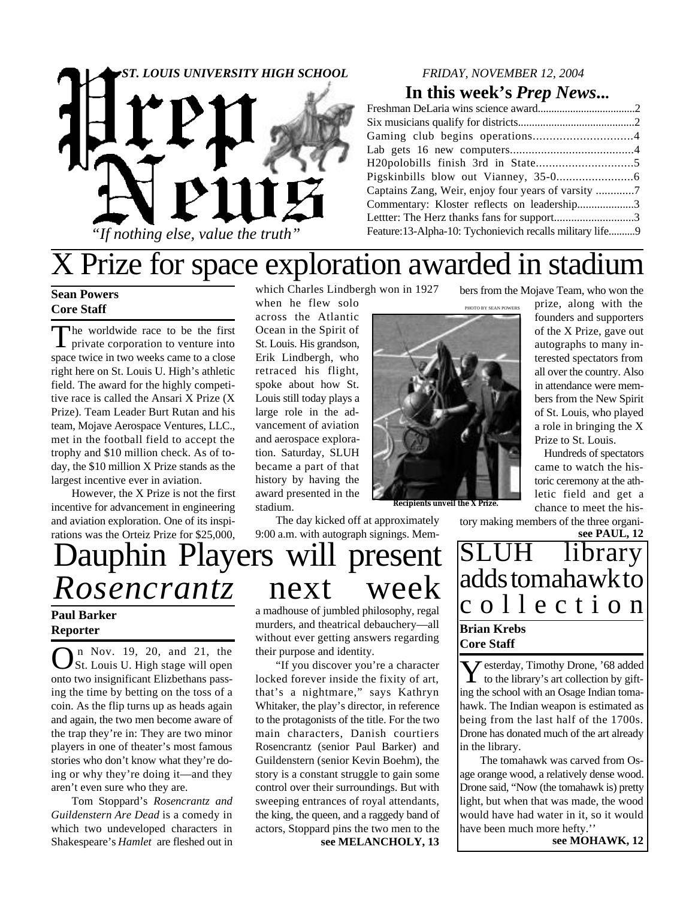

#### *FRIDAY, NOVEMBER 12, 2004*

### **In this week's** *Prep News***...**

| Commentary: Kloster reflects on leadership3              |  |
|----------------------------------------------------------|--|
| Lettter: The Herz thanks fans for support3               |  |
| Feature:13-Alpha-10: Tychonievich recalls military life9 |  |
|                                                          |  |

# X Prize for space exploration awarded in stadium

### **Sean Powers Core Staff**

The worldwide race to be the first<br>private corporation to venture into he worldwide race to be the first space twice in two weeks came to a close right here on St. Louis U. High's athletic field. The award for the highly competitive race is called the Ansari X Prize (X Prize). Team Leader Burt Rutan and his team, Mojave Aerospace Ventures, LLC., met in the football field to accept the trophy and \$10 million check. As of today, the \$10 million X Prize stands as the largest incentive ever in aviation.

However, the X Prize is not the first incentive for advancement in engineering and aviation exploration. One of its inspirations was the Orteiz Prize for \$25,000,

Dauphin Players will present *Rosencrantz* next week

### **Reporter**

 $\bigodot$  n Nov. 19, 20, and 21, the St. Louis U. High stage will open n Nov. 19, 20, and 21, the onto two insignificant Elizbethans passing the time by betting on the toss of a coin. As the flip turns up as heads again and again, the two men become aware of the trap they're in: They are two minor players in one of theater's most famous stories who don't know what they're doing or why they're doing it—and they aren't even sure who they are.

Tom Stoppard's *Rosencrantz and Guildenstern Are Dead* is a comedy in which two undeveloped characters in Shakespeare's *Hamlet* are fleshed out in which Charles Lindbergh won in 1927

when he flew solo across the Atlantic Ocean in the Spirit of St. Louis. His grandson, Erik Lindbergh, who retraced his flight, spoke about how St. Louis still today plays a large role in the advancement of aviation and aerospace exploration. Saturday, SLUH became a part of that history by having the award presented in the stadium.

The day kicked off at approximately 9:00 a.m. with autograph signings. MemPHOTO BY SEAN POWERS



**Recipients unveil the X Prize.**

bers from the Mojave Team, who won the

prize, along with the founders and supporters of the X Prize, gave out autographs to many interested spectators from all over the country. Also in attendance were members from the New Spirit of St. Louis, who played a role in bringing the X Prize to St. Louis.

 Hundreds of spectators came to watch the historic ceremony at the athletic field and get a chance to meet the his-

**see PAUL, 12** tory making members of the three organi-

SLUH library adds tomahawk to **Paul Barker Paul Barker Constant Constant Constant Constant Constant Constant Constant Constant Paul Barker Brian Krebs Core Staff**

> **Y** esterday, Timothy Drone, '68 added<br>to the library's art collection by giftto the library's art collection by gifting the school with an Osage Indian tomahawk. The Indian weapon is estimated as being from the last half of the 1700s. Drone has donated much of the art already in the library.

> The tomahawk was carved from Osage orange wood, a relatively dense wood. Drone said, "Now (the tomahawk is) pretty light, but when that was made, the wood would have had water in it, so it would have been much more hefty.'' **see MOHAWK, 12**

a madhouse of jumbled philosophy, regal murders, and theatrical debauchery—all without ever getting answers regarding their purpose and identity.

"If you discover you're a character locked forever inside the fixity of art, that's a nightmare," says Kathryn Whitaker, the play's director, in reference to the protagonists of the title. For the two main characters, Danish courtiers Rosencrantz (senior Paul Barker) and Guildenstern (senior Kevin Boehm), the story is a constant struggle to gain some control over their surroundings. But with sweeping entrances of royal attendants, the king, the queen, and a raggedy band of actors, Stoppard pins the two men to the

**see MELANCHOLY, 13**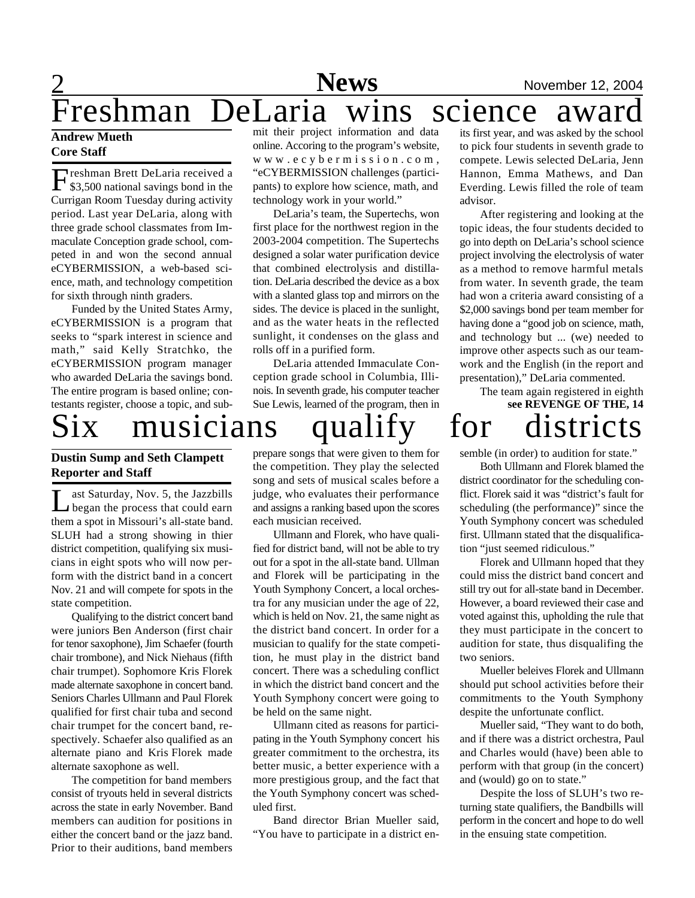Freshman DeLaria wins science award

**News** November 12, 2004

#### **Andrew Mueth Core Staff**

2

Freshman Brett DeLaria received a<br>\$3,500 national savings bond in the \$3,500 national savings bond in the Currigan Room Tuesday during activity period. Last year DeLaria, along with three grade school classmates from Immaculate Conception grade school, competed in and won the second annual eCYBERMISSION, a web-based science, math, and technology competition for sixth through ninth graders.

Funded by the United States Army, eCYBERMISSION is a program that seeks to "spark interest in science and math," said Kelly Stratchko, the eCYBERMISSION program manager who awarded DeLaria the savings bond. The entire program is based online; contestants register, choose a topic, and sub-

#### **Dustin Sump and Seth Clampett Reporter and Staff**

Let Saturday, Nov. 5, the Jazzbills<br>began the process that could earn<br>them a spot in Missouri's all-state band. ast Saturday, Nov. 5, the Jazzbills began the process that could earn SLUH had a strong showing in thier district competition, qualifying six musicians in eight spots who will now perform with the district band in a concert Nov. 21 and will compete for spots in the state competition.

Qualifying to the district concert band were juniors Ben Anderson (first chair for tenor saxophone), Jim Schaefer (fourth chair trombone), and Nick Niehaus (fifth chair trumpet). Sophomore Kris Florek made alternate saxophone in concert band. Seniors Charles Ullmann and Paul Florek qualified for first chair tuba and second chair trumpet for the concert band, respectively. Schaefer also qualified as an alternate piano and Kris Florek made alternate saxophone as well.

The competition for band members consist of tryouts held in several districts across the state in early November. Band members can audition for positions in either the concert band or the jazz band. Prior to their auditions, band members

mit their project information and data online. Accoring to the program's website, w w w . e c y b e r m i s s i o n . c o m , "eCYBERMISSION challenges (participants) to explore how science, math, and technology work in your world."

DeLaria's team, the Supertechs, won first place for the northwest region in the 2003-2004 competition. The Supertechs designed a solar water purification device that combined electrolysis and distillation. DeLaria described the device as a box with a slanted glass top and mirrors on the sides. The device is placed in the sunlight, and as the water heats in the reflected sunlight, it condenses on the glass and rolls off in a purified form.

DeLaria attended Immaculate Conception grade school in Columbia, Illinois. In seventh grade, his computer teacher Sue Lewis, learned of the program, then in

prepare songs that were given to them for the competition. They play the selected song and sets of musical scales before a judge, who evaluates their performance and assigns a ranking based upon the scores each musician received.

Ullmann and Florek, who have qualified for district band, will not be able to try out for a spot in the all-state band. Ullman and Florek will be participating in the Youth Symphony Concert, a local orchestra for any musician under the age of 22, which is held on Nov. 21, the same night as the district band concert. In order for a musician to qualify for the state competition, he must play in the district band concert. There was a scheduling conflict in which the district band concert and the Youth Symphony concert were going to be held on the same night.

Ullmann cited as reasons for participating in the Youth Symphony concert his greater commitment to the orchestra, its better music, a better experience with a more prestigious group, and the fact that the Youth Symphony concert was scheduled first.

Band director Brian Mueller said, "You have to participate in a district en-

its first year, and was asked by the school to pick four students in seventh grade to compete. Lewis selected DeLaria, Jenn Hannon, Emma Mathews, and Dan Everding. Lewis filled the role of team advisor.

After registering and looking at the topic ideas, the four students decided to go into depth on DeLaria's school science project involving the electrolysis of water as a method to remove harmful metals from water. In seventh grade, the team had won a criteria award consisting of a \$2,000 savings bond per team member for having done a "good job on science, math, and technology but ... (we) needed to improve other aspects such as our teamwork and the English (in the report and presentation)," DeLaria commented.

**see REVENGE OF THE, 14** musicians qualify for districts The team again registered in eighth

semble (in order) to audition for state."

Both Ullmann and Florek blamed the district coordinator for the scheduling conflict. Florek said it was "district's fault for scheduling (the performance)" since the Youth Symphony concert was scheduled first. Ullmann stated that the disqualification "just seemed ridiculous."

Florek and Ullmann hoped that they could miss the district band concert and still try out for all-state band in December. However, a board reviewed their case and voted against this, upholding the rule that they must participate in the concert to audition for state, thus disqualifing the two seniors.

Mueller beleives Florek and Ullmann should put school activities before their commitments to the Youth Symphony despite the unfortunate conflict.

Mueller said, "They want to do both, and if there was a district orchestra, Paul and Charles would (have) been able to perform with that group (in the concert) and (would) go on to state."

Despite the loss of SLUH's two returning state qualifiers, the Bandbills will perform in the concert and hope to do well in the ensuing state competition.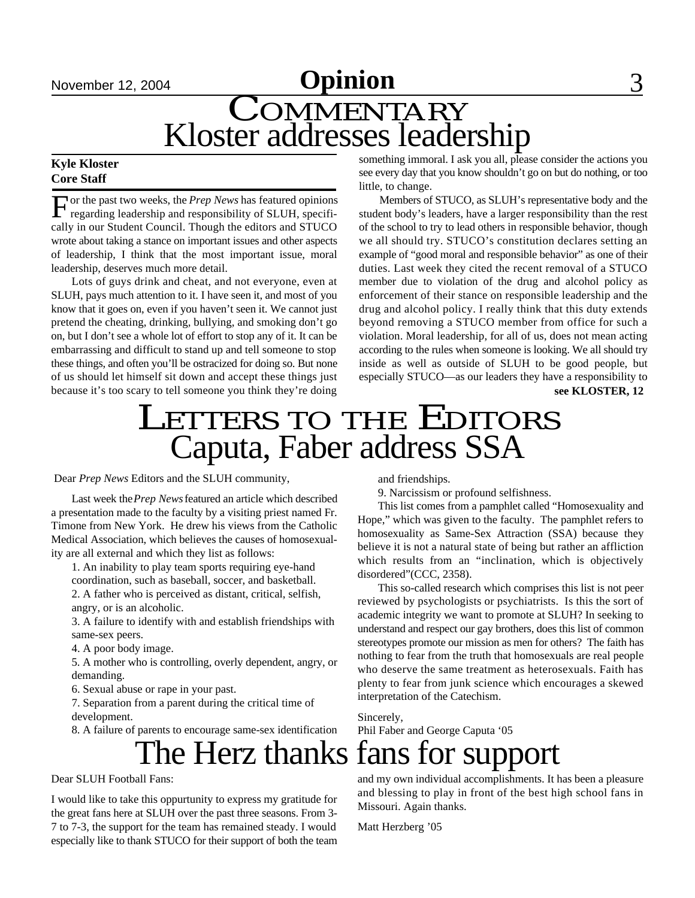## **November 12, 2004 Opinion** 3 COMMENTARY Kloster addresses leadership

#### **Kyle Kloster Core Staff**

For the past two weeks, the Prep News has featured opinions<br>regarding leadership and responsibility of SLUH, specifior the past two weeks, the *Prep News* has featured opinions cally in our Student Council. Though the editors and STUCO wrote about taking a stance on important issues and other aspects of leadership, I think that the most important issue, moral leadership, deserves much more detail.

Lots of guys drink and cheat, and not everyone, even at SLUH, pays much attention to it. I have seen it, and most of you know that it goes on, even if you haven't seen it. We cannot just pretend the cheating, drinking, bullying, and smoking don't go on, but I don't see a whole lot of effort to stop any of it. It can be embarrassing and difficult to stand up and tell someone to stop these things, and often you'll be ostracized for doing so. But none of us should let himself sit down and accept these things just because it's too scary to tell someone you think they're doing

something immoral. I ask you all, please consider the actions you see every day that you know shouldn't go on but do nothing, or too little, to change.

Members of STUCO, as SLUH's representative body and the student body's leaders, have a larger responsibility than the rest of the school to try to lead others in responsible behavior, though we all should try. STUCO's constitution declares setting an example of "good moral and responsible behavior" as one of their duties. Last week they cited the recent removal of a STUCO member due to violation of the drug and alcohol policy as enforcement of their stance on responsible leadership and the drug and alcohol policy. I really think that this duty extends beyond removing a STUCO member from office for such a violation. Moral leadership, for all of us, does not mean acting according to the rules when someone is looking. We all should try inside as well as outside of SLUH to be good people, but especially STUCO—as our leaders they have a responsibility to **see KLOSTER, 12**

## LETTERS TO THE EDITORS Caputa, Faber address SSA

Dear *Prep News* Editors and the SLUH community,

Last week the *Prep News* featured an article which described a presentation made to the faculty by a visiting priest named Fr. Timone from New York. He drew his views from the Catholic Medical Association, which believes the causes of homosexuality are all external and which they list as follows:

1. An inability to play team sports requiring eye-hand

coordination, such as baseball, soccer, and basketball. 2. A father who is perceived as distant, critical, selfish,

angry, or is an alcoholic.

3. A failure to identify with and establish friendships with same-sex peers.

4. A poor body image.

5. A mother who is controlling, overly dependent, angry, or demanding.

6. Sexual abuse or rape in your past.

7. Separation from a parent during the critical time of development.

8. A failure of parents to encourage same-sex identification

and friendships.

9. Narcissism or profound selfishness.

This list comes from a pamphlet called "Homosexuality and Hope," which was given to the faculty. The pamphlet refers to homosexuality as Same-Sex Attraction (SSA) because they believe it is not a natural state of being but rather an affliction which results from an "inclination, which is objectively disordered"(CCC, 2358).

This so-called research which comprises this list is not peer reviewed by psychologists or psychiatrists. Is this the sort of academic integrity we want to promote at SLUH? In seeking to understand and respect our gay brothers, does this list of common stereotypes promote our mission as men for others? The faith has nothing to fear from the truth that homosexuals are real people who deserve the same treatment as heterosexuals. Faith has plenty to fear from junk science which encourages a skewed interpretation of the Catechism.

Sincerely, Phil Faber and George Caputa '05

# The Herz thanks fans for support

Dear SLUH Football Fans:

I would like to take this oppurtunity to express my gratitude for the great fans here at SLUH over the past three seasons. From 3- 7 to 7-3, the support for the team has remained steady. I would especially like to thank STUCO for their support of both the team

and my own individual accomplishments. It has been a pleasure and blessing to play in front of the best high school fans in Missouri. Again thanks.

Matt Herzberg '05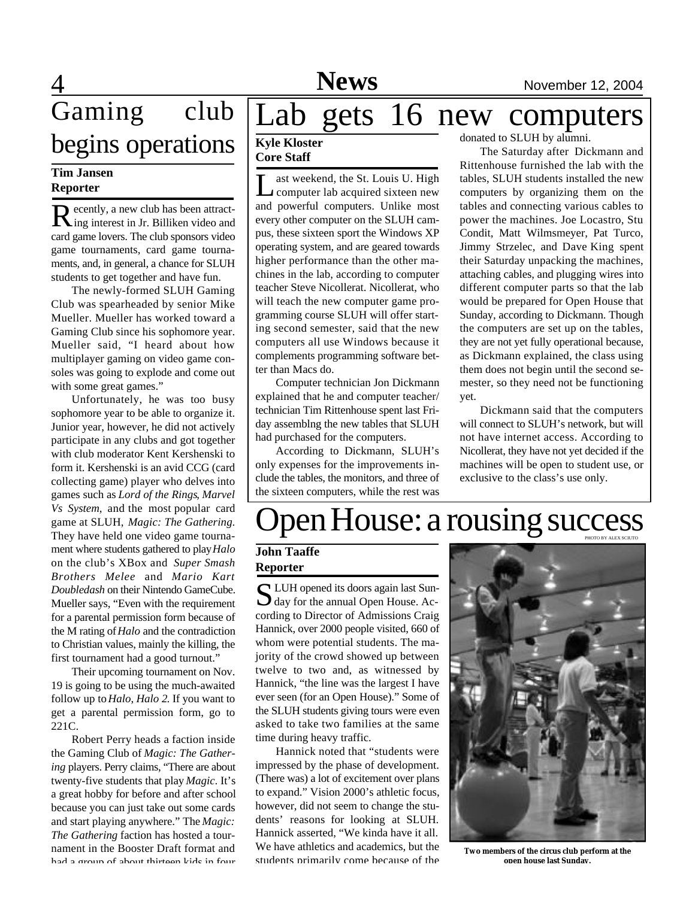## $\overline{4}$ Gaming club begins operations

### **Tim Jansen Reporter**

Recently, a new club has been attract-<br>Ring interest in Jr. Billiken video and ing interest in Jr. Billiken video and card game lovers. The club sponsors video game tournaments, card game tournaments, and, in general, a chance for SLUH students to get together and have fun.

The newly-formed SLUH Gaming Club was spearheaded by senior Mike Mueller. Mueller has worked toward a Gaming Club since his sophomore year. Mueller said, "I heard about how multiplayer gaming on video game consoles was going to explode and come out with some great games."

Unfortunately, he was too busy sophomore year to be able to organize it. Junior year, however, he did not actively participate in any clubs and got together with club moderator Kent Kershenski to form it. Kershenski is an avid CCG (card collecting game) player who delves into games such as *Lord of the Rings*, *Marvel Vs System*, and the most popular card game at SLUH, *Magic: The Gathering*. They have held one video game tournament where students gathered to play *Halo* on the club's XBox and *Super Smash Brothers Melee* and *Mario Kart Doubledash* on their Nintendo GameCube. Mueller says, "Even with the requirement for a parental permission form because of the M rating of *Halo* and the contradiction to Christian values, mainly the killing, the first tournament had a good turnout."

Their upcoming tournament on Nov. 19 is going to be using the much-awaited follow up to *Halo*, *Halo 2*. If you want to get a parental permission form, go to 221C.

Robert Perry heads a faction inside the Gaming Club of *Magic: The Gathering* players. Perry claims, "There are about twenty-five students that play *Magic*. It's a great hobby for before and after school because you can just take out some cards and start playing anywhere." The *Magic: The Gathering* faction has hosted a tournament in the Booster Draft format and had a group of about thirteen kids in four

# Lab gets 16 new computers

#### **Kyle Kloster Core Staff**

Let weekend, the St. Louis U. High<br>computer lab acquired sixteen new ast weekend, the St. Louis U. High and powerful computers. Unlike most every other computer on the SLUH campus, these sixteen sport the Windows XP operating system, and are geared towards higher performance than the other machines in the lab, according to computer teacher Steve Nicollerat. Nicollerat, who will teach the new computer game programming course SLUH will offer starting second semester, said that the new computers all use Windows because it complements programming software better than Macs do.

Computer technician Jon Dickmann explained that he and computer teacher/ technician Tim Rittenhouse spent last Friday assemblng the new tables that SLUH had purchased for the computers.

According to Dickmann, SLUH's only expenses for the improvements include the tables, the monitors, and three of the sixteen computers, while the rest was

donated to SLUH by alumni.

The Saturday after Dickmann and Rittenhouse furnished the lab with the tables, SLUH students installed the new computers by organizing them on the tables and connecting various cables to power the machines. Joe Locastro, Stu Condit, Matt Wilmsmeyer, Pat Turco, Jimmy Strzelec, and Dave King spent their Saturday unpacking the machines, attaching cables, and plugging wires into different computer parts so that the lab would be prepared for Open House that Sunday, according to Dickmann. Though the computers are set up on the tables, they are not yet fully operational because, as Dickmann explained, the class using them does not begin until the second semester, so they need not be functioning yet.

Dickmann said that the computers will connect to SLUH's network, but will not have internet access. According to Nicollerat, they have not yet decided if the machines will be open to student use, or exclusive to the class's use only.

### pen House: a rousing success PHOTO BY ALEX SCIUTO

### **John Taaffe Reporter**

S LUH opened its doors again last Sun-<br>Say for the annual Open House. Ac- $\bigcup$  day for the annual Open House. According to Director of Admissions Craig Hannick, over 2000 people visited, 660 of whom were potential students. The majority of the crowd showed up between twelve to two and, as witnessed by Hannick, "the line was the largest I have ever seen (for an Open House)." Some of the SLUH students giving tours were even asked to take two families at the same time during heavy traffic.

Hannick noted that "students were impressed by the phase of development. (There was) a lot of excitement over plans to expand." Vision 2000's athletic focus, however, did not seem to change the students' reasons for looking at SLUH. Hannick asserted, "We kinda have it all. We have athletics and academics, but the students primarily come because of the



**Two members of the circus club perform at the open house last Sunday.**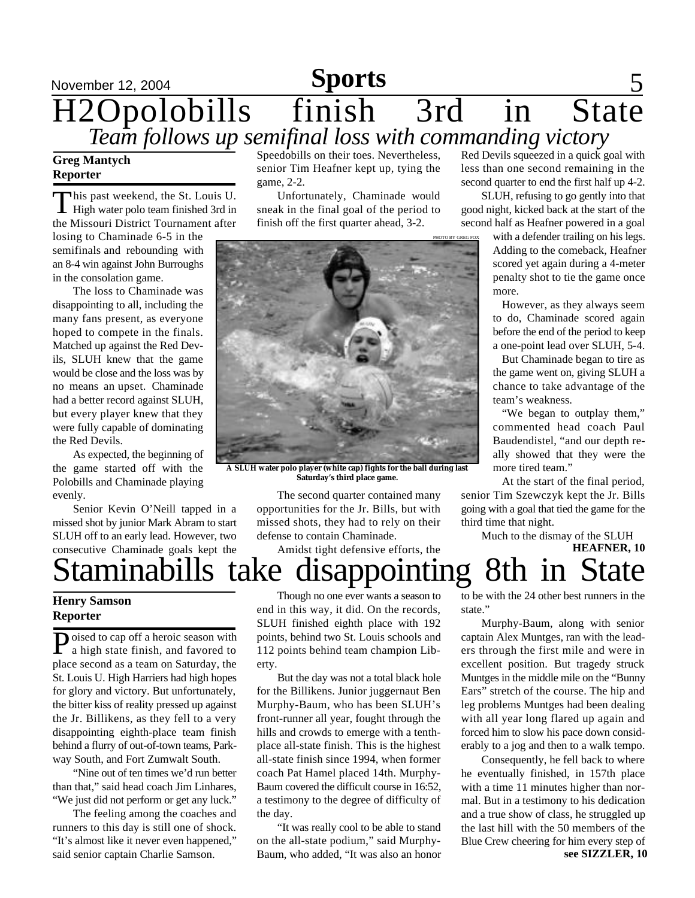### November 12, 2004 **Sports** 5 H2Opolobills finish 3rd in State *Team follows up semifinal loss with commanding victory*

#### **Greg Mantych Reporter**

This past weekend, the St. Louis U.<br>High water polo team finished 3rd in his past weekend, the St. Louis U. the Missouri District Tournament after

losing to Chaminade 6-5 in the semifinals and rebounding with an 8-4 win against John Burroughs in the consolation game.

The loss to Chaminade was disappointing to all, including the many fans present, as everyone hoped to compete in the finals. Matched up against the Red Devils, SLUH knew that the game would be close and the loss was by no means an upset. Chaminade had a better record against SLUH, but every player knew that they were fully capable of dominating the Red Devils.

As expected, the beginning of the game started off with the Polobills and Chaminade playing evenly.

Senior Kevin O'Neill tapped in a missed shot by junior Mark Abram to start SLUH off to an early lead. However, two consecutive Chaminade goals kept the

Speedobills on their toes. Nevertheless, senior Tim Heafner kept up, tying the game, 2-2.

Unfortunately, Chaminade would sneak in the final goal of the period to finish off the first quarter ahead, 3-2.



**A SLUH water polo player (white cap) fights for the ball during last Saturday's third place game.**

The second quarter contained many opportunities for the Jr. Bills, but with missed shots, they had to rely on their defense to contain Chaminade.

Amidst tight defensive efforts, the

Red Devils squeezed in a quick goal with less than one second remaining in the second quarter to end the first half up 4-2.

SLUH, refusing to go gently into that good night, kicked back at the start of the second half as Heafner powered in a goal

> with a defender trailing on his legs. Adding to the comeback, Heafner scored yet again during a 4-meter penalty shot to tie the game once more.

However, as they always seem to do, Chaminade scored again before the end of the period to keep a one-point lead over SLUH, 5-4.

But Chaminade began to tire as the game went on, giving SLUH a chance to take advantage of the team's weakness.

"We began to outplay them," commented head coach Paul Baudendistel, "and our depth really showed that they were the more tired team."

At the start of the final period, senior Tim Szewczyk kept the Jr. Bills going with a goal that tied the game for the third time that night.

**HEAFNER, 10** Much to the dismay of the SLUH

# Staminabills take disappointing 8th in

### **Henry Samson Reporter**

**P**oised to cap off a heroic season with<br>a high state finish, and favored to **T**oised to cap off a heroic season with place second as a team on Saturday, the St. Louis U. High Harriers had high hopes for glory and victory. But unfortunately, the bitter kiss of reality pressed up against the Jr. Billikens, as they fell to a very disappointing eighth-place team finish behind a flurry of out-of-town teams, Parkway South, and Fort Zumwalt South.

"Nine out of ten times we'd run better than that," said head coach Jim Linhares, "We just did not perform or get any luck."

The feeling among the coaches and runners to this day is still one of shock. "It's almost like it never even happened," said senior captain Charlie Samson.

Though no one ever wants a season to end in this way, it did. On the records, SLUH finished eighth place with 192 points, behind two St. Louis schools and 112 points behind team champion Liberty.

But the day was not a total black hole for the Billikens. Junior juggernaut Ben Murphy-Baum, who has been SLUH's front-runner all year, fought through the hills and crowds to emerge with a tenthplace all-state finish. This is the highest all-state finish since 1994, when former coach Pat Hamel placed 14th. Murphy-Baum covered the difficult course in 16:52, a testimony to the degree of difficulty of the day.

"It was really cool to be able to stand on the all-state podium," said Murphy-Baum, who added, "It was also an honor to be with the 24 other best runners in the state."

Murphy-Baum, along with senior captain Alex Muntges, ran with the leaders through the first mile and were in excellent position. But tragedy struck Muntges in the middle mile on the "Bunny Ears" stretch of the course. The hip and leg problems Muntges had been dealing with all year long flared up again and forced him to slow his pace down considerably to a jog and then to a walk tempo.

Consequently, he fell back to where he eventually finished, in 157th place with a time 11 minutes higher than normal. But in a testimony to his dedication and a true show of class, he struggled up the last hill with the 50 members of the Blue Crew cheering for him every step of **see SIZZLER, 10**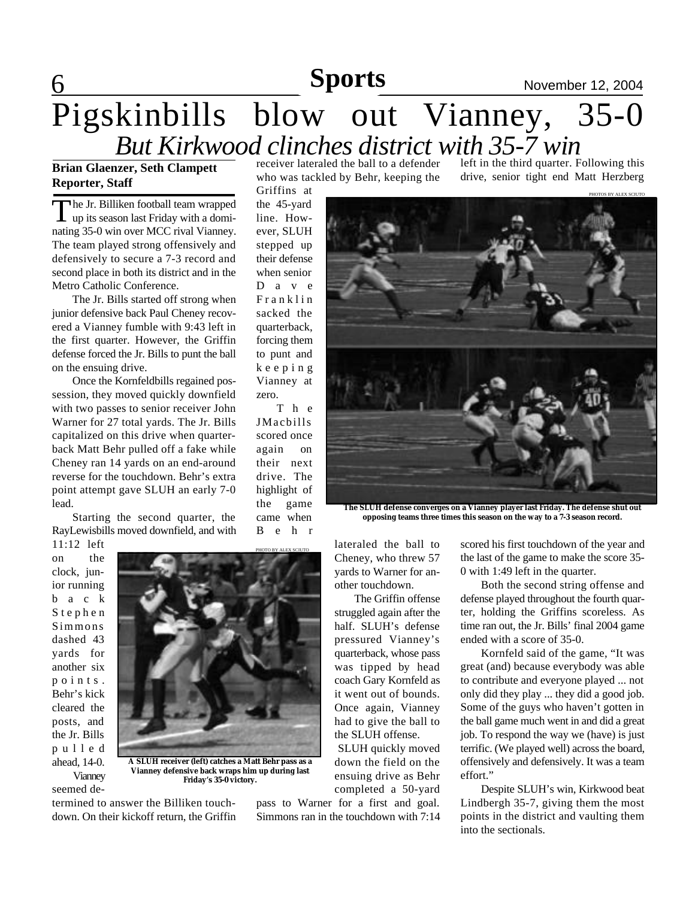# 6 **Sports News** November 12, 2004 **Sports**

PHOTOS BY ALEX SCIUTO

## Pigskinbills blow out Vianney, 35-0 *But Kirkwood clinches district with 35-7 win*

### **Brian Glaenzer, Seth Clampett Reporter, Staff**

The Jr. Billiken football team wrapped<br>up its season last Friday with a domihe Jr. Billiken football team wrapped nating 35-0 win over MCC rival Vianney. The team played strong offensively and defensively to secure a 7-3 record and second place in both its district and in the Metro Catholic Conference.

The Jr. Bills started off strong when junior defensive back Paul Cheney recovered a Vianney fumble with 9:43 left in the first quarter. However, the Griffin defense forced the Jr. Bills to punt the ball on the ensuing drive.

Once the Kornfeldbills regained possession, they moved quickly downfield with two passes to senior receiver John Warner for 27 total yards. The Jr. Bills capitalized on this drive when quarterback Matt Behr pulled off a fake while Cheney ran 14 yards on an end-around reverse for the touchdown. Behr's extra point attempt gave SLUH an early 7-0 lead.

Starting the second quarter, the RayLewisbills moved downfield, and with

11:12 left on the clock, junior running b a c k S t e p h e n Simmons dashed 43 yards for another six p o i n t s . Behr's kick cleared the posts, and the Jr. Bills p u l l e d ahead, 14-0. Vianney

seemed de-



**A SLUH receiver (left) catches a Matt Behr pass as a Vianney defensive back wraps him up during last Friday's 35-0 victory.**

termined to answer the Billiken touchdown. On their kickoff return, the Griffin receiver lateraled the ball to a defender who was tackled by Behr, keeping the

left in the third quarter. Following this drive, senior tight end Matt Herzberg

Griffins at the 45-yard line. However, SLUH stepped up their defense when senior D a v e F r a n k l i n sacked the quarterback, forcing them to punt and k e e p i n g Vianney at zero.

T h e JMacbills scored once again on their next drive. The highlight of the game came when B e h r



**The SLUH defense converges on a Vianney player last Friday. The defense shut out opposing teams three times this season on the way to a 7-3 season record.**

lateraled the ball to Cheney, who threw 57 yards to Warner for another touchdown.

 The Griffin offense struggled again after the half. SLUH's defense pressured Vianney's quarterback, whose pass was tipped by head coach Gary Kornfeld as it went out of bounds. Once again, Vianney had to give the ball to the SLUH offense.

SLUH quickly moved down the field on the ensuing drive as Behr completed a 50-yard

pass to Warner for a first and goal. Simmons ran in the touchdown with 7:14 scored his first touchdown of the year and the last of the game to make the score 35- 0 with 1:49 left in the quarter.

Both the second string offense and defense played throughout the fourth quarter, holding the Griffins scoreless. As time ran out, the Jr. Bills' final 2004 game ended with a score of 35-0.

Kornfeld said of the game, "It was great (and) because everybody was able to contribute and everyone played ... not only did they play ... they did a good job. Some of the guys who haven't gotten in the ball game much went in and did a great job. To respond the way we (have) is just terrific. (We played well) across the board, offensively and defensively. It was a team effort."

Despite SLUH's win, Kirkwood beat Lindbergh 35-7, giving them the most points in the district and vaulting them into the sectionals.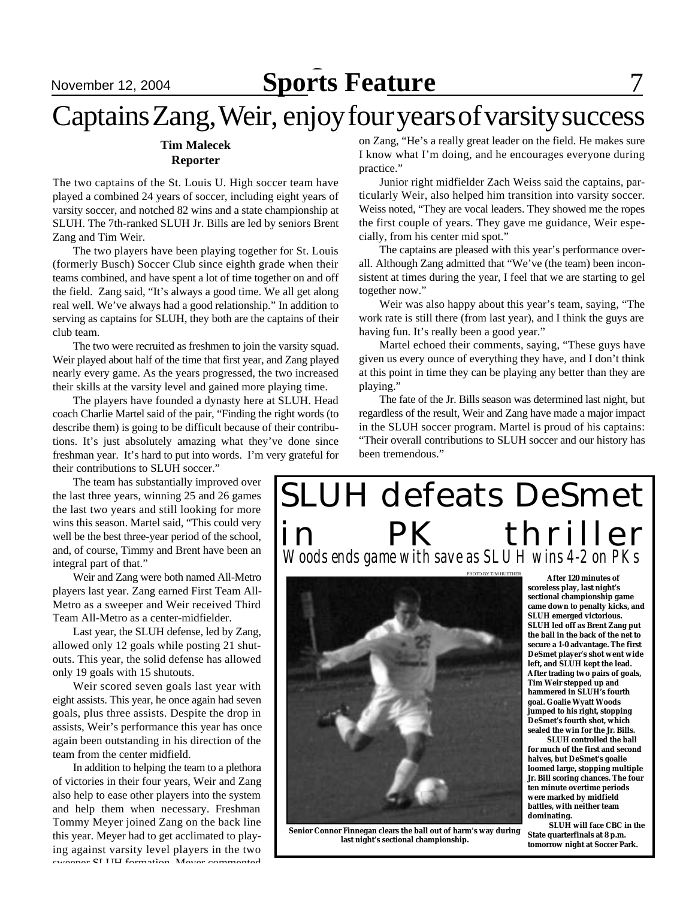### November 12, 2004 **Sports Feature**

## Captains Zang, Weir, enjoy four years of varsity success

#### **Tim Malecek Reporter**

The two captains of the St. Louis U. High soccer team have played a combined 24 years of soccer, including eight years of varsity soccer, and notched 82 wins and a state championship at SLUH. The 7th-ranked SLUH Jr. Bills are led by seniors Brent Zang and Tim Weir.

The two players have been playing together for St. Louis (formerly Busch) Soccer Club since eighth grade when their teams combined, and have spent a lot of time together on and off the field. Zang said, "It's always a good time. We all get along real well. We've always had a good relationship." In addition to serving as captains for SLUH, they both are the captains of their club team.

The two were recruited as freshmen to join the varsity squad. Weir played about half of the time that first year, and Zang played nearly every game. As the years progressed, the two increased their skills at the varsity level and gained more playing time.

The players have founded a dynasty here at SLUH. Head coach Charlie Martel said of the pair, "Finding the right words (to describe them) is going to be difficult because of their contributions. It's just absolutely amazing what they've done since freshman year. It's hard to put into words. I'm very grateful for their contributions to SLUH soccer."

The team has substantially improved over the last three years, winning 25 and 26 games the last two years and still looking for more wins this season. Martel said, "This could very well be the best three-year period of the school, and, of course, Timmy and Brent have been an integral part of that."

Weir and Zang were both named All-Metro players last year. Zang earned First Team All-Metro as a sweeper and Weir received Third Team All-Metro as a center-midfielder.

Last year, the SLUH defense, led by Zang, allowed only 12 goals while posting 21 shutouts. This year, the solid defense has allowed only 19 goals with 15 shutouts.

Weir scored seven goals last year with eight assists. This year, he once again had seven goals, plus three assists. Despite the drop in assists, Weir's performance this year has once again been outstanding in his direction of the team from the center midfield.

In addition to helping the team to a plethora of victories in their four years, Weir and Zang also help to ease other players into the system and help them when necessary. Freshman Tommy Meyer joined Zang on the back line this year. Meyer had to get acclimated to playing against varsity level players in the two sweeper SLUH formation. Mover commented

on Zang, "He's a really great leader on the field. He makes sure I know what I'm doing, and he encourages everyone during practice."

Junior right midfielder Zach Weiss said the captains, particularly Weir, also helped him transition into varsity soccer. Weiss noted, "They are vocal leaders. They showed me the ropes the first couple of years. They gave me guidance, Weir especially, from his center mid spot."

The captains are pleased with this year's performance overall. Although Zang admitted that "We've (the team) been inconsistent at times during the year, I feel that we are starting to gel together now."

Weir was also happy about this year's team, saying, "The work rate is still there (from last year), and I think the guys are having fun. It's really been a good year."

Martel echoed their comments, saying, "These guys have given us every ounce of everything they have, and I don't think at this point in time they can be playing any better than they are playing."

The fate of the Jr. Bills season was determined last night, but regardless of the result, Weir and Zang have made a major impact in the SLUH soccer program. Martel is proud of his captains: "Their overall contributions to SLUH soccer and our history has been tremendous."

## SLUH defeats DeSmet PK thriller *Woods ends game with save as SLUH wins 4-2 on PKs*



**Senior Connor Finnegan clears the ball out of harm's way during last night's sectional championship.**

 **After 120 minutes of scoreless play, last night's sectional championship game came down to penalty kicks, and SLUH emerged victorious. SLUH led off as Brent Zang put the ball in the back of the net to secure a 1-0 advantage. The first DeSmet player's shot went wide left, and SLUH kept the lead. After trading two pairs of goals, Tim Weir stepped up and hammered in SLUH's fourth goal. Goalie Wyatt Woods jumped to his right, stopping DeSmet's fourth shot, which sealed the win for the Jr. Bills.**

 **SLUH controlled the ball for much of the first and second halves, but DeSmet's goalie loomed large, stopping multiple Jr. Bill scoring chances. The four ten minute overtime periods were marked by midfield battles, with neither team dominating.**

 **SLUH will face CBC in the State quarterfinals at 8 p.m. tomorrow night at Soccer Park.**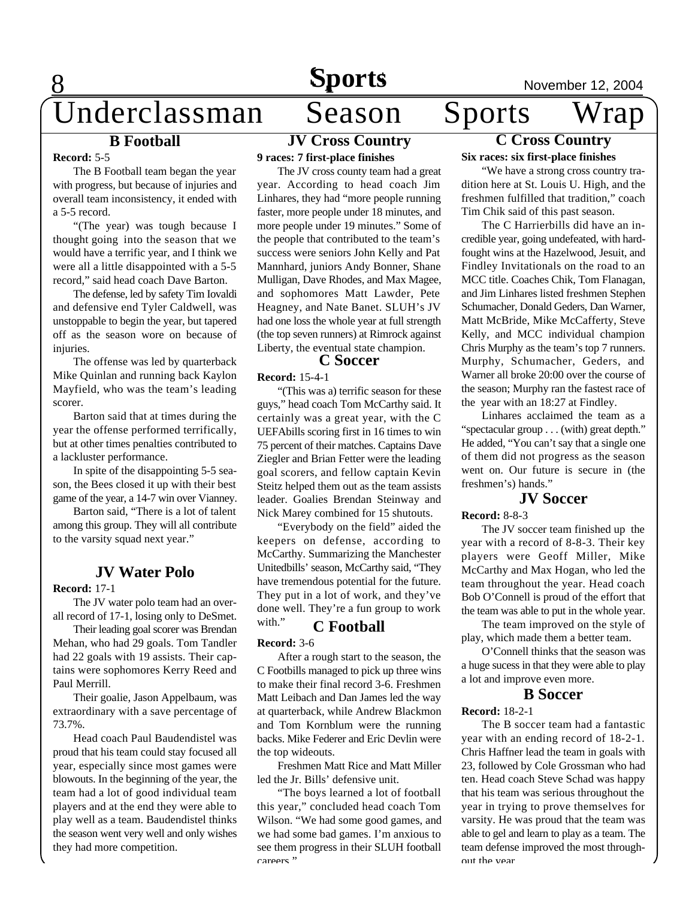### **B Football**

#### **Record:** 5-5

8

The B Football team began the year with progress, but because of injuries and overall team inconsistency, it ended with a 5-5 record.

"(The year) was tough because I thought going into the season that we would have a terrific year, and I think we were all a little disappointed with a 5-5 record," said head coach Dave Barton.

The defense, led by safety Tim Iovaldi and defensive end Tyler Caldwell, was unstoppable to begin the year, but tapered off as the season wore on because of injuries.

The offense was led by quarterback Mike Quinlan and running back Kaylon Mayfield, who was the team's leading scorer.

Barton said that at times during the year the offense performed terrifically, but at other times penalties contributed to a lackluster performance.

In spite of the disappointing 5-5 season, the Bees closed it up with their best game of the year, a 14-7 win over Vianney.

Barton said, "There is a lot of talent among this group. They will all contribute to the varsity squad next year."

#### **JV Water Polo**

#### **Record:** 17-1

The JV water polo team had an overall record of 17-1, losing only to DeSmet.

Their leading goal scorer was Brendan Mehan, who had 29 goals. Tom Tandler had 22 goals with 19 assists. Their captains were sophomores Kerry Reed and Paul Merrill.

Their goalie, Jason Appelbaum, was extraordinary with a save percentage of 73.7%.

Head coach Paul Baudendistel was proud that his team could stay focused all year, especially since most games were blowouts. In the beginning of the year, the team had a lot of good individual team players and at the end they were able to play well as a team. Baudendistel thinks the season went very well and only wishes they had more competition.

### **JV Cross Country**

**9 races: 7 first-place finishes**

The JV cross county team had a great year. According to head coach Jim Linhares, they had "more people running faster, more people under 18 minutes, and more people under 19 minutes." Some of the people that contributed to the team's success were seniors John Kelly and Pat Mannhard, juniors Andy Bonner, Shane Mulligan, Dave Rhodes, and Max Magee, and sophomores Matt Lawder, Pete Heagney, and Nate Banet. SLUH's JV had one loss the whole year at full strength (the top seven runners) at Rimrock against Liberty, the eventual state champion.

#### **C Soccer**

**Record:** 15-4-1

"(This was a) terrific season for these guys," head coach Tom McCarthy said. It certainly was a great year, with the C UEFAbills scoring first in 16 times to win 75 percent of their matches. Captains Dave Ziegler and Brian Fetter were the leading goal scorers, and fellow captain Kevin Steitz helped them out as the team assists leader. Goalies Brendan Steinway and Nick Marey combined for 15 shutouts.

"Everybody on the field" aided the keepers on defense, according to McCarthy. Summarizing the Manchester Unitedbills' season, McCarthy said, "They have tremendous potential for the future. They put in a lot of work, and they've done well. They're a fun group to work

### with." **C Football**

#### **Record:** 3-6

After a rough start to the season, the C Footbills managed to pick up three wins to make their final record 3-6. Freshmen Matt Leibach and Dan James led the way at quarterback, while Andrew Blackmon and Tom Kornblum were the running backs. Mike Federer and Eric Devlin were the top wideouts.

Freshmen Matt Rice and Matt Miller led the Jr. Bills' defensive unit.

"The boys learned a lot of football this year," concluded head coach Tom Wilson. "We had some good games, and we had some bad games. I'm anxious to see them progress in their SLUH football careers."

## **Sports**<br>
Season Sports Wrap Underclassman Season Sports Wrap

#### **C Cross Country Six races: six first-place finishes**

"We have a strong cross country tradition here at St. Louis U. High, and the freshmen fulfilled that tradition," coach Tim Chik said of this past season.

The C Harrierbills did have an incredible year, going undefeated, with hardfought wins at the Hazelwood, Jesuit, and Findley Invitationals on the road to an MCC title. Coaches Chik, Tom Flanagan, and Jim Linhares listed freshmen Stephen Schumacher, Donald Geders, Dan Warner, Matt McBride, Mike McCafferty, Steve Kelly, and MCC individual champion Chris Murphy as the team's top 7 runners. Murphy, Schumacher, Geders, and Warner all broke 20:00 over the course of the season; Murphy ran the fastest race of the year with an 18:27 at Findley.

Linhares acclaimed the team as a "spectacular group . . . (with) great depth." He added, "You can't say that a single one of them did not progress as the season went on. Our future is secure in (the freshmen's) hands."

### **JV Soccer**

**Record:** 8-8-3

The JV soccer team finished up the year with a record of 8-8-3. Their key players were Geoff Miller, Mike McCarthy and Max Hogan, who led the team throughout the year. Head coach Bob O'Connell is proud of the effort that the team was able to put in the whole year.

The team improved on the style of play, which made them a better team.

O'Connell thinks that the season was a huge sucess in that they were able to play a lot and improve even more.

#### **B Soccer**

#### **Record:** 18-2-1

The B soccer team had a fantastic year with an ending record of 18-2-1. Chris Haffner lead the team in goals with 23, followed by Cole Grossman who had ten. Head coach Steve Schad was happy that his team was serious throughout the year in trying to prove themselves for varsity. He was proud that the team was able to gel and learn to play as a team. The team defense improved the most throughout the year.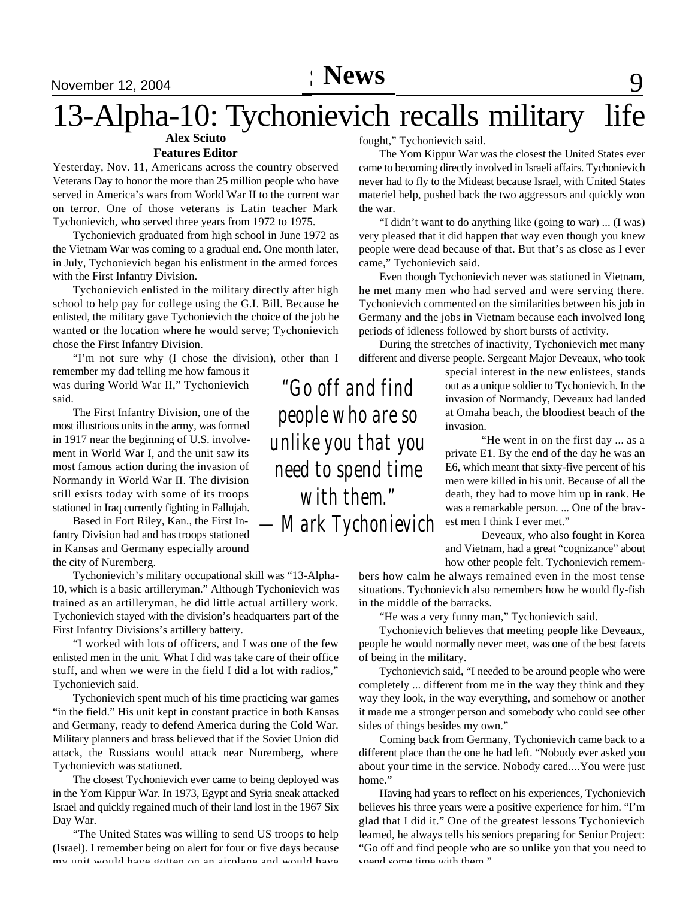# 13-Alpha-10: Tychonievich recalls military life

### **Alex Sciuto**

#### **Features Editor**

Yesterday, Nov. 11, Americans across the country observed Veterans Day to honor the more than 25 million people who have served in America's wars from World War II to the current war on terror. One of those veterans is Latin teacher Mark Tychonievich, who served three years from 1972 to 1975.

Tychonievich graduated from high school in June 1972 as the Vietnam War was coming to a gradual end. One month later, in July, Tychonievich began his enlistment in the armed forces with the First Infantry Division.

Tychonievich enlisted in the military directly after high school to help pay for college using the G.I. Bill. Because he enlisted, the military gave Tychonievich the choice of the job he wanted or the location where he would serve; Tychonievich chose the First Infantry Division.

*"Go off and find* "I'm not sure why (I chose the division), other than I remember my dad telling me how famous it

was during World War II," Tychonievich said.

The First Infantry Division, one of the most illustrious units in the army, was formed in 1917 near the beginning of U.S. involvement in World War I, and the unit saw its most famous action during the invasion of Normandy in World War II. The division still exists today with some of its troops stationed in Iraq currently fighting in Fallujah.

Based in Fort Riley, Kan., the First Infantry Division had and has troops stationed in Kansas and Germany especially around the city of Nuremberg.

Tychonievich's military occupational skill was "13-Alpha-10, which is a basic artilleryman." Although Tychonievich was trained as an artilleryman, he did little actual artillery work. Tychonievich stayed with the division's headquarters part of the First Infantry Divisions's artillery battery.

"I worked with lots of officers, and I was one of the few enlisted men in the unit. What I did was take care of their office stuff, and when we were in the field I did a lot with radios," Tychonievich said.

Tychonievich spent much of his time practicing war games "in the field." His unit kept in constant practice in both Kansas and Germany, ready to defend America during the Cold War. Military planners and brass believed that if the Soviet Union did attack, the Russians would attack near Nuremberg, where Tychonievich was stationed.

The closest Tychonievich ever came to being deployed was in the Yom Kippur War. In 1973, Egypt and Syria sneak attacked Israel and quickly regained much of their land lost in the 1967 Six Day War.

"The United States was willing to send US troops to help (Israel). I remember being on alert for four or five days because my unit would have gotten on an airplane and would have

fought," Tychonievich said.

The Yom Kippur War was the closest the United States ever came to becoming directly involved in Israeli affairs. Tychonievich never had to fly to the Mideast because Israel, with United States materiel help, pushed back the two aggressors and quickly won the war.

"I didn't want to do anything like (going to war) ... (I was) very pleased that it did happen that way even though you knew people were dead because of that. But that's as close as I ever came," Tychonievich said.

Even though Tychonievich never was stationed in Vietnam, he met many men who had served and were serving there. Tychonievich commented on the similarities between his job in Germany and the jobs in Vietnam because each involved long periods of idleness followed by short bursts of activity.

During the stretches of inactivity, Tychonievich met many different and diverse people. Sergeant Major Deveaux, who took

> special interest in the new enlistees, stands out as a unique soldier to Tychonievich. In the invasion of Normandy, Deveaux had landed at Omaha beach, the bloodiest beach of the invasion.

"He went in on the first day ... as a private E1. By the end of the day he was an E6, which meant that sixty-five percent of his men were killed in his unit. Because of all the death, they had to move him up in rank. He was a remarkable person. ... One of the bravest men I think I ever met."

Deveaux, who also fought in Korea and Vietnam, had a great "cognizance" about how other people felt. Tychonievich remem-

bers how calm he always remained even in the most tense situations. Tychonievich also remembers how he would fly-fish in the middle of the barracks.

"He was a very funny man," Tychonievich said.

Tychonievich believes that meeting people like Deveaux, people he would normally never meet, was one of the best facets of being in the military.

Tychonievich said, "I needed to be around people who were completely ... different from me in the way they think and they way they look, in the way everything, and somehow or another it made me a stronger person and somebody who could see other sides of things besides my own."

Coming back from Germany, Tychonievich came back to a different place than the one he had left. "Nobody ever asked you about your time in the service. Nobody cared....You were just home."

Having had years to reflect on his experiences, Tychonievich believes his three years were a positive experience for him. "I'm glad that I did it." One of the greatest lessons Tychonievich learned, he always tells his seniors preparing for Senior Project: "Go off and find people who are so unlike you that you need to spend some time with them."

*people who are so unlike you that you need to spend time with them." —Mark Tychonievich*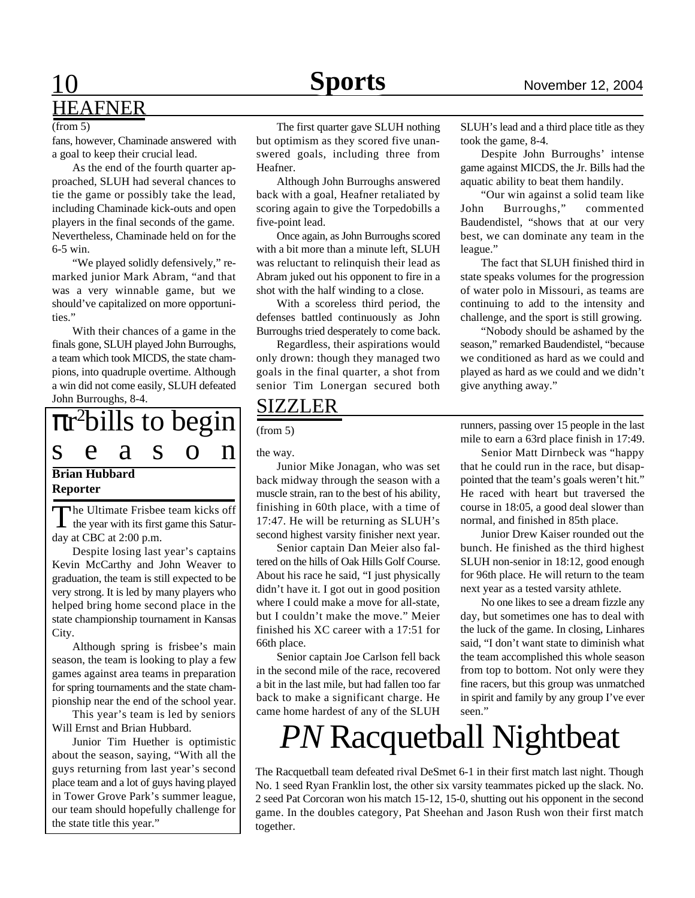### 10 **Sports News** November 12, 2004 HEAFNER

#### (from 5)

fans, however, Chaminade answered with a goal to keep their crucial lead.

As the end of the fourth quarter approached, SLUH had several chances to tie the game or possibly take the lead, including Chaminade kick-outs and open players in the final seconds of the game. Nevertheless, Chaminade held on for the 6-5 win.

"We played solidly defensively," remarked junior Mark Abram, "and that was a very winnable game, but we should've capitalized on more opportunities."

With their chances of a game in the finals gone, SLUH played John Burroughs, a team which took MICDS, the state champions, into quadruple overtime. Although a win did not come easily, SLUH defeated John Burroughs, 8-4.

### **Brian Hubbard** r <sup>2</sup>bills to begin s e a s o n

#### **Reporter**

The Ultimate Frisbee team kicks off<br>the year with its first game this Satur- $\mathbf I$  the year with its first game this Saturday at CBC at 2:00 p.m.

Despite losing last year's captains Kevin McCarthy and John Weaver to graduation, the team is still expected to be very strong. It is led by many players who helped bring home second place in the state championship tournament in Kansas City.

Although spring is frisbee's main season, the team is looking to play a few games against area teams in preparation for spring tournaments and the state championship near the end of the school year.

This year's team is led by seniors Will Ernst and Brian Hubbard.

Junior Tim Huether is optimistic about the season, saying, "With all the guys returning from last year's second place team and a lot of guys having played in Tower Grove Park's summer league, our team should hopefully challenge for the state title this year."

The first quarter gave SLUH nothing but optimism as they scored five unanswered goals, including three from Heafner.

Although John Burroughs answered back with a goal, Heafner retaliated by scoring again to give the Torpedobills a five-point lead.

Once again, as John Burroughs scored with a bit more than a minute left, SLUH was reluctant to relinquish their lead as Abram juked out his opponent to fire in a shot with the half winding to a close.

With a scoreless third period, the defenses battled continuously as John Burroughs tried desperately to come back.

Regardless, their aspirations would only drown: though they managed two goals in the final quarter, a shot from senior Tim Lonergan secured both

### SIZZLER

the way.

Junior Mike Jonagan, who was set back midway through the season with a muscle strain, ran to the best of his ability, finishing in 60th place, with a time of 17:47. He will be returning as SLUH's second highest varsity finisher next year.

Senior captain Dan Meier also faltered on the hills of Oak Hills Golf Course. About his race he said, "I just physically didn't have it. I got out in good position where I could make a move for all-state, but I couldn't make the move." Meier finished his XC career with a 17:51 for 66th place.

Senior captain Joe Carlson fell back in the second mile of the race, recovered a bit in the last mile, but had fallen too far back to make a significant charge. He came home hardest of any of the SLUH

SLUH's lead and a third place title as they took the game, 8-4.

Despite John Burroughs' intense game against MICDS, the Jr. Bills had the aquatic ability to beat them handily.

"Our win against a solid team like John Burroughs," commented Baudendistel, "shows that at our very best, we can dominate any team in the league."

The fact that SLUH finished third in state speaks volumes for the progression of water polo in Missouri, as teams are continuing to add to the intensity and challenge, and the sport is still growing.

"Nobody should be ashamed by the season," remarked Baudendistel, "because we conditioned as hard as we could and played as hard as we could and we didn't give anything away."

The runners, passing over 15 people in the last from 5) mile to earn a 63rd place finish in 17:49.

> Senior Matt Dirnbeck was "happy that he could run in the race, but disappointed that the team's goals weren't hit." He raced with heart but traversed the course in 18:05, a good deal slower than normal, and finished in 85th place.

> Junior Drew Kaiser rounded out the bunch. He finished as the third highest SLUH non-senior in 18:12, good enough for 96th place. He will return to the team next year as a tested varsity athlete.

> No one likes to see a dream fizzle any day, but sometimes one has to deal with the luck of the game. In closing, Linhares said, "I don't want state to diminish what the team accomplished this whole season from top to bottom. Not only were they fine racers, but this group was unmatched in spirit and family by any group I've ever seen."

# *PN* Racquetball Nightbeat

The Racquetball team defeated rival DeSmet 6-1 in their first match last night. Though No. 1 seed Ryan Franklin lost, the other six varsity teammates picked up the slack. No. 2 seed Pat Corcoran won his match 15-12, 15-0, shutting out his opponent in the second game. In the doubles category, Pat Sheehan and Jason Rush won their first match together.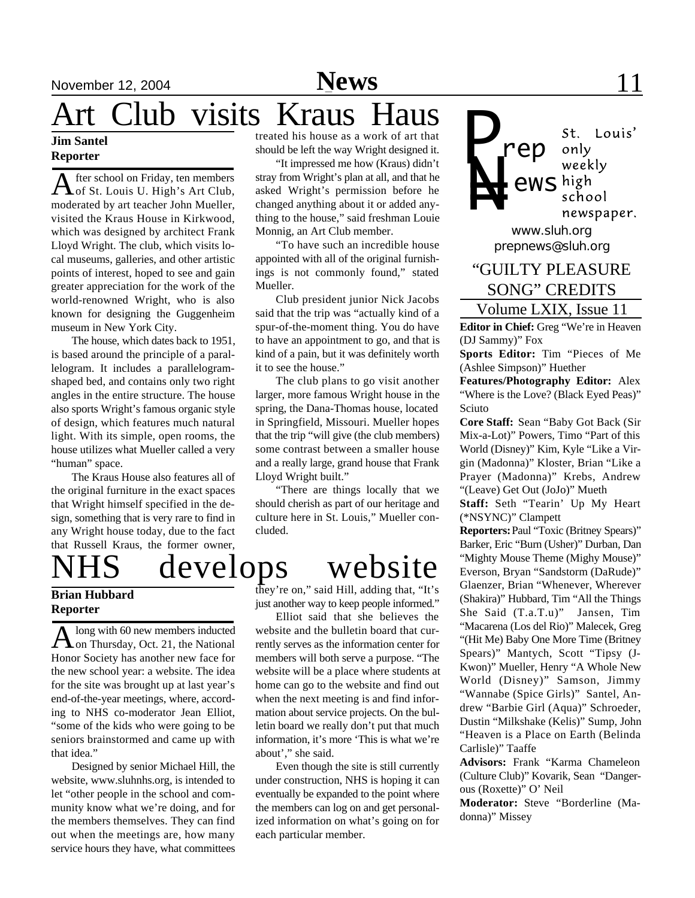# Art Club visits Kraus Haus

#### **Jim Santel Reporter**

A fter school on Friday, ten members<br>
of St. Louis U. High's Art Club, fter school on Friday, ten members moderated by art teacher John Mueller, visited the Kraus House in Kirkwood, which was designed by architect Frank Lloyd Wright. The club, which visits local museums, galleries, and other artistic points of interest, hoped to see and gain greater appreciation for the work of the world-renowned Wright, who is also known for designing the Guggenheim museum in New York City.

The house, which dates back to 1951, is based around the principle of a parallelogram. It includes a parallelogramshaped bed, and contains only two right angles in the entire structure. The house also sports Wright's famous organic style of design, which features much natural light. With its simple, open rooms, the house utilizes what Mueller called a very "human" space.

The Kraus House also features all of the original furniture in the exact spaces that Wright himself specified in the design, something that is very rare to find in any Wright house today, due to the fact that Russell Kraus, the former owner,

#### **Brian Hubbard Reporter**

A long with 60 new members inducted<br>on Thursday, Oct. 21, the National long with 60 new members inducted Honor Society has another new face for the new school year: a website. The idea for the site was brought up at last year's end-of-the-year meetings, where, according to NHS co-moderator Jean Elliot, "some of the kids who were going to be seniors brainstormed and came up with that idea."

Designed by senior Michael Hill, the website, www.sluhnhs.org, is intended to let "other people in the school and community know what we're doing, and for the members themselves. They can find out when the meetings are, how many service hours they have, what committees

treated his house as a work of art that should be left the way Wright designed it.

"It impressed me how (Kraus) didn't stray from Wright's plan at all, and that he asked Wright's permission before he changed anything about it or added anything to the house," said freshman Louie Monnig, an Art Club member.

"To have such an incredible house appointed with all of the original furnishings is not commonly found," stated Mueller.

Club president junior Nick Jacobs said that the trip was "actually kind of a spur-of-the-moment thing. You do have to have an appointment to go, and that is kind of a pain, but it was definitely worth it to see the house."

The club plans to go visit another larger, more famous Wright house in the spring, the Dana-Thomas house, located in Springfield, Missouri. Mueller hopes that the trip "will give (the club members) some contrast between a smaller house and a really large, grand house that Frank Lloyd Wright built."

"There are things locally that we should cherish as part of our heritage and culture here in St. Louis," Mueller concluded.

# develops website

they're on," said Hill, adding that, "It's just another way to keep people informed."

Elliot said that she believes the website and the bulletin board that currently serves as the information center for members will both serve a purpose. "The website will be a place where students at home can go to the website and find out when the next meeting is and find information about service projects. On the bulletin board we really don't put that much information, it's more 'This is what we're about'," she said.

Even though the site is still currently under construction, NHS is hoping it can eventually be expanded to the point where the members can log on and get personalized information on what's going on for each particular member.

*P rep* only weekly *N= ews* school newspaper. *www.sluh.org prepnews@sluh.org*

### Volume LXIX, Issue 11 "GUILTY PLEASURE SONG" CREDITS

**Editor in Chief:** Greg "We're in Heaven (DJ Sammy)" Fox

**Sports Editor:** Tim "Pieces of Me (Ashlee Simpson)" Huether

**Features/Photography Editor:** Alex "Where is the Love? (Black Eyed Peas)" Sciuto

**Core Staff:** Sean "Baby Got Back (Sir Mix-a-Lot)" Powers, Timo "Part of this World (Disney)" Kim, Kyle "Like a Virgin (Madonna)" Kloster, Brian "Like a Prayer (Madonna)" Krebs, Andrew "(Leave) Get Out (JoJo)" Mueth

**Staff:** Seth "Tearin' Up My Heart (\*NSYNC)" Clampett

**Reporters:** Paul "Toxic (Britney Spears)" Barker, Eric "Burn (Usher)" Durban, Dan "Mighty Mouse Theme (Mighy Mouse)" Everson, Bryan "Sandstorm (DaRude)" Glaenzer, Brian "Whenever, Wherever (Shakira)" Hubbard, Tim "All the Things She Said (T.a.T.u)" Jansen, Tim "Macarena (Los del Rio)" Malecek, Greg "(Hit Me) Baby One More Time (Britney Spears)" Mantych, Scott "Tipsy (J-Kwon)" Mueller, Henry "A Whole New World (Disney)" Samson, Jimmy "Wannabe (Spice Girls)" Santel, Andrew "Barbie Girl (Aqua)" Schroeder, Dustin "Milkshake (Kelis)" Sump, John "Heaven is a Place on Earth (Belinda Carlisle)" Taaffe

**Advisors:** Frank "Karma Chameleon (Culture Club)" Kovarik, Sean "Dangerous (Roxette)" O' Neil

**Moderator:** Steve "Borderline (Madonna)" Missey

St. Louis'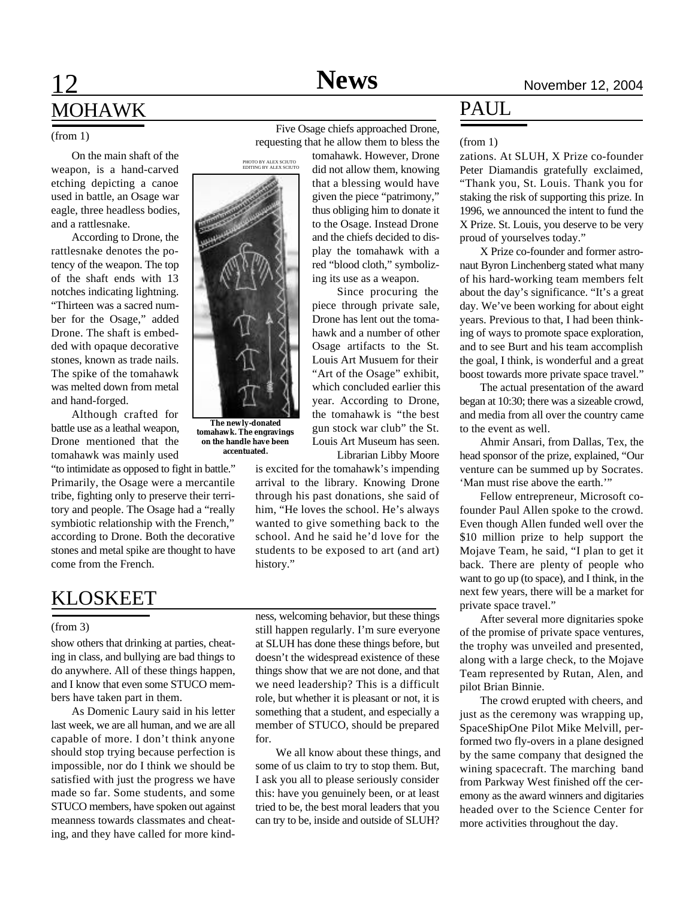## 12 **Sports News** November 12, 2004 MOHAWK

On the main shaft of the weapon, is a hand-carved etching depicting a canoe used in battle, an Osage war eagle, three headless bodies, and a rattlesnake.

According to Drone, the rattlesnake denotes the potency of the weapon. The top of the shaft ends with 13 notches indicating lightning. "Thirteen was a sacred number for the Osage," added Drone. The shaft is embedded with opaque decorative stones, known as trade nails. The spike of the tomahawk was melted down from metal and hand-forged.

Although crafted for battle use as a leathal weapon, Drone mentioned that the tomahawk was mainly used

"to intimidate as opposed to fight in battle." Primarily, the Osage were a mercantile tribe, fighting only to preserve their territory and people. The Osage had a "really symbiotic relationship with the French," according to Drone. Both the decorative stones and metal spike are thought to have come from the French.

### KLOSKEET

#### (from 3)

show others that drinking at parties, cheating in class, and bullying are bad things to do anywhere. All of these things happen, and I know that even some STUCO members have taken part in them.

As Domenic Laury said in his letter last week, we are all human, and we are all capable of more. I don't think anyone should stop trying because perfection is impossible, nor do I think we should be satisfied with just the progress we have made so far. Some students, and some STUCO members, have spoken out against meanness towards classmates and cheating, and they have called for more kindness, welcoming behavior, but these things still happen regularly. I'm sure everyone at SLUH has done these things before, but doesn't the widespread existence of these things show that we are not done, and that we need leadership? This is a difficult role, but whether it is pleasant or not, it is something that a student, and especially a member of STUCO, should be prepared for.

We all know about these things, and some of us claim to try to stop them. But, I ask you all to please seriously consider this: have you genuinely been, or at least tried to be, the best moral leaders that you can try to be, inside and outside of SLUH?

PAUL

#### (from 1) Five Osage chiefs approached Drone,<br>
Five Osage chiefs approached Drone, requesting that he allow them to bless the

tomahawk. However, Drone did not allow them, knowing that a blessing would have given the piece "patrimony," thus obliging him to donate it to the Osage. Instead Drone and the chiefs decided to display the tomahawk with a red "blood cloth," symbolizing its use as a weapon.

Since procuring the piece through private sale, Drone has lent out the tomahawk and a number of other Osage artifacts to the St. Louis Art Musuem for their "Art of the Osage" exhibit, which concluded earlier this year. According to Drone, the tomahawk is "the best gun stock war club" the St. Louis Art Museum has seen. Librarian Libby Moore

is excited for the tomahawk's impending arrival to the library. Knowing Drone through his past donations, she said of him, "He loves the school. He's always wanted to give something back to the school. And he said he'd love for the students to be exposed to art (and art) history."

zations. At SLUH, X Prize co-founder Peter Diamandis gratefully exclaimed, "Thank you, St. Louis. Thank you for staking the risk of supporting this prize. In 1996, we announced the intent to fund the X Prize. St. Louis, you deserve to be very proud of yourselves today." (from 1)

X Prize co-founder and former astronaut Byron Linchenberg stated what many of his hard-working team members felt about the day's significance. "It's a great day. We've been working for about eight years. Previous to that, I had been thinking of ways to promote space exploration, and to see Burt and his team accomplish the goal, I think, is wonderful and a great boost towards more private space travel."

The actual presentation of the award began at 10:30; there was a sizeable crowd, and media from all over the country came to the event as well.

Ahmir Ansari, from Dallas, Tex, the head sponsor of the prize, explained, "Our venture can be summed up by Socrates. 'Man must rise above the earth.'"

Fellow entrepreneur, Microsoft cofounder Paul Allen spoke to the crowd. Even though Allen funded well over the \$10 million prize to help support the Mojave Team, he said, "I plan to get it back. There are plenty of people who want to go up (to space), and I think, in the next few years, there will be a market for private space travel."

After several more dignitaries spoke of the promise of private space ventures, the trophy was unveiled and presented, along with a large check, to the Mojave Team represented by Rutan, Alen, and pilot Brian Binnie.

The crowd erupted with cheers, and just as the ceremony was wrapping up, SpaceShipOne Pilot Mike Melvill, performed two fly-overs in a plane designed by the same company that designed the wining spacecraft. The marching band from Parkway West finished off the ceremony as the award winners and digitaries headed over to the Science Center for more activities throughout the day.

**The newly-donated tomahawk. The engravings on the handle have been accentuated.**



PHOTO BY ALEX SCIUTO EDITING BY ALEX SCIUTO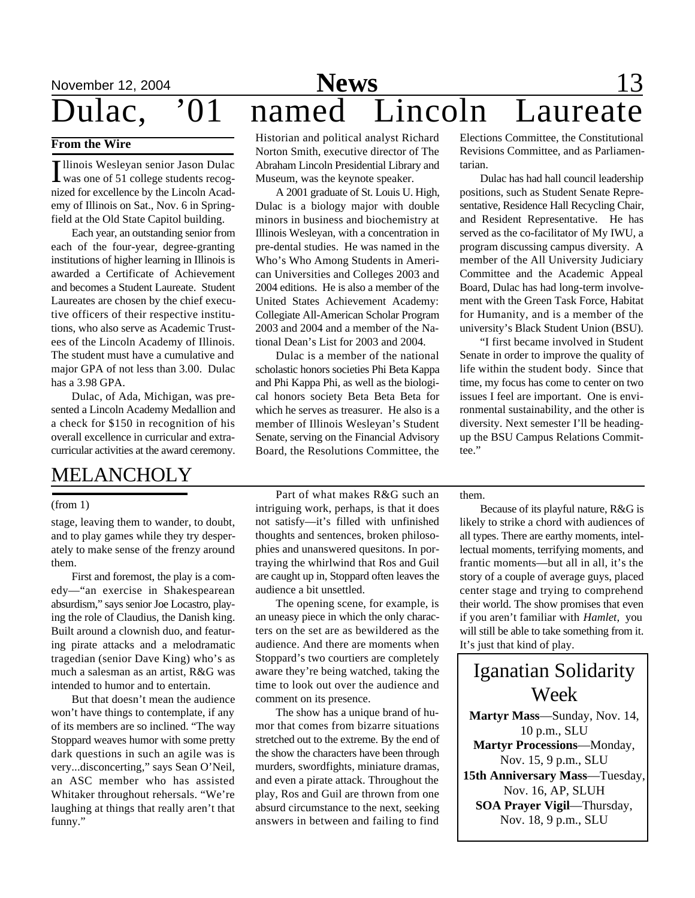# **November 12, 2004 News** 13 Dulac, '01 named Lincoln Laureate

#### **From the Wire**

Illinois Wesleyan senior Jason Dulac<br>was one of 51 college students recogllinois Wesleyan senior Jason Dulac nized for excellence by the Lincoln Academy of Illinois on Sat., Nov. 6 in Springfield at the Old State Capitol building.

Each year, an outstanding senior from each of the four-year, degree-granting institutions of higher learning in Illinois is awarded a Certificate of Achievement and becomes a Student Laureate. Student Laureates are chosen by the chief executive officers of their respective institutions, who also serve as Academic Trustees of the Lincoln Academy of Illinois. The student must have a cumulative and major GPA of not less than 3.00. Dulac has a 3.98 GPA.

Dulac, of Ada, Michigan, was presented a Lincoln Academy Medallion and a check for \$150 in recognition of his overall excellence in curricular and extracurricular activities at the award ceremony.

### MELANCHOLY

#### (from 1)

stage, leaving them to wander, to doubt, and to play games while they try desperately to make sense of the frenzy around them.

First and foremost, the play is a comedy—"an exercise in Shakespearean absurdism," says senior Joe Locastro, playing the role of Claudius, the Danish king. Built around a clownish duo, and featuring pirate attacks and a melodramatic tragedian (senior Dave King) who's as much a salesman as an artist, R&G was intended to humor and to entertain.

But that doesn't mean the audience won't have things to contemplate, if any of its members are so inclined. "The way Stoppard weaves humor with some pretty dark questions in such an agile was is very...disconcerting," says Sean O'Neil, an ASC member who has assisted Whitaker throughout rehersals. "We're laughing at things that really aren't that funny."

Historian and political analyst Richard Norton Smith, executive director of The Abraham Lincoln Presidential Library and Museum, was the keynote speaker.

A 2001 graduate of St. Louis U. High, Dulac is a biology major with double minors in business and biochemistry at Illinois Wesleyan, with a concentration in pre-dental studies. He was named in the Who's Who Among Students in American Universities and Colleges 2003 and 2004 editions. He is also a member of the United States Achievement Academy: Collegiate All-American Scholar Program 2003 and 2004 and a member of the National Dean's List for 2003 and 2004.

Dulac is a member of the national scholastic honors societies Phi Beta Kappa and Phi Kappa Phi, as well as the biological honors society Beta Beta Beta for which he serves as treasurer. He also is a member of Illinois Wesleyan's Student Senate, serving on the Financial Advisory Board, the Resolutions Committee, the

Elections Committee, the Constitutional Revisions Committee, and as Parliamentarian.

Dulac has had hall council leadership positions, such as Student Senate Representative, Residence Hall Recycling Chair, and Resident Representative. He has served as the co-facilitator of My IWU, a program discussing campus diversity. A member of the All University Judiciary Committee and the Academic Appeal Board, Dulac has had long-term involvement with the Green Task Force, Habitat for Humanity, and is a member of the university's Black Student Union (BSU).

"I first became involved in Student Senate in order to improve the quality of life within the student body. Since that time, my focus has come to center on two issues I feel are important. One is environmental sustainability, and the other is diversity. Next semester I'll be headingup the BSU Campus Relations Committee."

Part of what makes R&G such an intriguing work, perhaps, is that it does not satisfy—it's filled with unfinished thoughts and sentences, broken philosophies and unanswered quesitons. In portraying the whirlwind that Ros and Guil are caught up in, Stoppard often leaves the audience a bit unsettled.

The opening scene, for example, is an uneasy piece in which the only characters on the set are as bewildered as the audience. And there are moments when Stoppard's two courtiers are completely aware they're being watched, taking the time to look out over the audience and comment on its presence.

The show has a unique brand of humor that comes from bizarre situations stretched out to the extreme. By the end of the show the characters have been through murders, swordfights, miniature dramas, and even a pirate attack. Throughout the play, Ros and Guil are thrown from one absurd circumstance to the next, seeking answers in between and failing to find

them.

Because of its playful nature, R&G is likely to strike a chord with audiences of all types. There are earthy moments, intellectual moments, terrifying moments, and frantic moments—but all in all, it's the story of a couple of average guys, placed center stage and trying to comprehend their world. The show promises that even if you aren't familiar with *Hamlet*, you will still be able to take something from it. It's just that kind of play.

Iganatian Solidarity Week **Martyr Mass**—Sunday, Nov. 14, 10 p.m., SLU **Martyr Processions**—Monday, Nov. 15, 9 p.m., SLU **15th Anniversary Mass**—Tuesday, Nov. 16, AP, SLUH **SOA Prayer Vigil**—Thursday, Nov. 18, 9 p.m., SLU